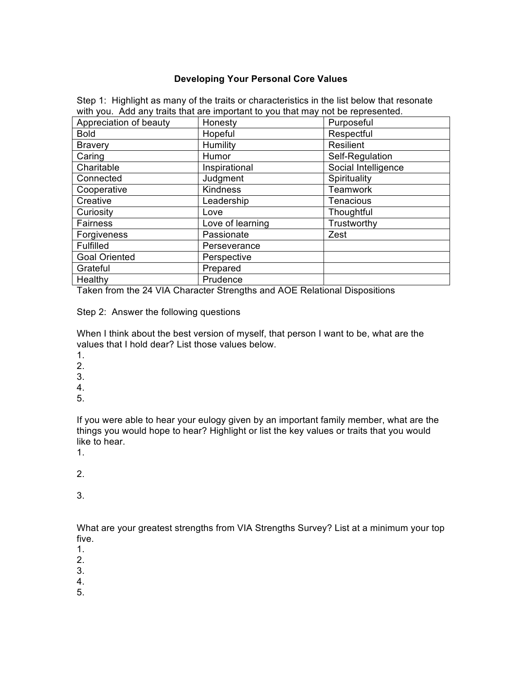## **Developing Your Personal Core Values**

| Appreciation of beauty | Honesty          | $\frac{1}{2}$ , $\frac{1}{2}$ , $\frac{1}{2}$ , $\frac{1}{2}$ , $\frac{1}{2}$ , $\frac{1}{2}$ , $\frac{1}{2}$ , $\frac{1}{2}$ , $\frac{1}{2}$ , $\frac{1}{2}$ , $\frac{1}{2}$ , $\frac{1}{2}$ , $\frac{1}{2}$ , $\frac{1}{2}$ , $\frac{1}{2}$ , $\frac{1}{2}$ , $\frac{1}{2}$ , $\frac{1}{2}$ , $\frac{1$<br>Purposeful |  |
|------------------------|------------------|-------------------------------------------------------------------------------------------------------------------------------------------------------------------------------------------------------------------------------------------------------------------------------------------------------------------------|--|
| <b>Bold</b>            | Hopeful          | Respectful                                                                                                                                                                                                                                                                                                              |  |
| <b>Bravery</b>         | Humility         | <b>Resilient</b>                                                                                                                                                                                                                                                                                                        |  |
| Caring                 | Humor            | Self-Regulation                                                                                                                                                                                                                                                                                                         |  |
| Charitable             | Inspirational    | Social Intelligence                                                                                                                                                                                                                                                                                                     |  |
| Connected              | Judgment         | Spirituality                                                                                                                                                                                                                                                                                                            |  |
| Cooperative            | Kindness         | <b>Teamwork</b>                                                                                                                                                                                                                                                                                                         |  |
| Creative               | Leadership       | <b>Tenacious</b>                                                                                                                                                                                                                                                                                                        |  |
| Curiosity              | Love             | Thoughtful                                                                                                                                                                                                                                                                                                              |  |
| Fairness               | Love of learning | Trustworthy                                                                                                                                                                                                                                                                                                             |  |
| Forgiveness            | Passionate       | Zest                                                                                                                                                                                                                                                                                                                    |  |
| Fulfilled              | Perseverance     |                                                                                                                                                                                                                                                                                                                         |  |
| <b>Goal Oriented</b>   | Perspective      |                                                                                                                                                                                                                                                                                                                         |  |
| Grateful               | Prepared         |                                                                                                                                                                                                                                                                                                                         |  |
| Healthy                | Prudence         |                                                                                                                                                                                                                                                                                                                         |  |

Step 1: Highlight as many of the traits or characteristics in the list below that resonate with you. Add any traits that are important to you that may not be represented.

Taken from the 24 VIA Character Strengths and AOE Relational Dispositions

Step 2: Answer the following questions

When I think about the best version of myself, that person I want to be, what are the values that I hold dear? List those values below.

- 1.
- 2.
- 
- 3. 4.
- 

5.

If you were able to hear your eulogy given by an important family member, what are the things you would hope to hear? Highlight or list the key values or traits that you would like to hear.

1.

2.

3.

What are your greatest strengths from VIA Strengths Survey? List at a minimum your top five.

- 1.
- 2.
- 3.
- 4.
- 5.